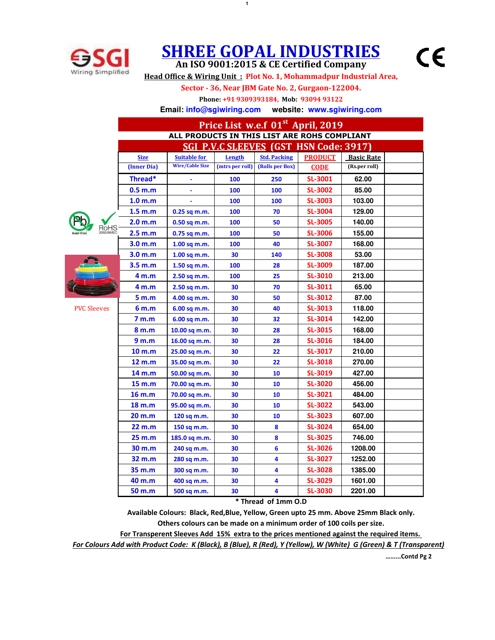

## **SHREE GOPAL INDUSTRIES**

**1**

 $\epsilon$ 

**An ISO 9001:2015 & CE Certified Company Head Office & Wiring Unit : Plot No. 1, Mohammadpur Industrial Area,**

**Sector - 36, Near JBM Gate No. 2, Gurgaon-122004.**

**Phone: +91 9309393184, Mob: 93094 93122**

**Email: info@sgiwiring.com website: www.sgiwiring.com**

|                    | Price List w.e.f 01 <sup>st</sup> April, 2019 |                        |                 |                     |                |                   |  |  |  |  |
|--------------------|-----------------------------------------------|------------------------|-----------------|---------------------|----------------|-------------------|--|--|--|--|
|                    | ALL PRODUCTS IN THIS LIST ARE ROHS COMPLIANT  |                        |                 |                     |                |                   |  |  |  |  |
|                    | <b>SGI P.V.C SLEEVES (GST HSN Code: 3917)</b> |                        |                 |                     |                |                   |  |  |  |  |
|                    | <b>Size</b>                                   | <b>Suitable for</b>    | Length          | <b>Std. Packing</b> | <b>PRODUCT</b> | <b>Basic Rate</b> |  |  |  |  |
|                    | (Inner Dia)                                   | <b>Wire/Cable Size</b> | (mtrs per roll) | (Rolls per Box)     | <b>CODE</b>    | (Rs.per roll)     |  |  |  |  |
|                    | Thread*                                       |                        | 100             | 250                 | SL-3001        | 62.00             |  |  |  |  |
|                    | 0.5 <sub>m.m</sub>                            |                        | 100             | 100                 | <b>SL-3002</b> | 85.00             |  |  |  |  |
|                    | 1.0 <sub>m,m</sub>                            |                        | 100             | 100                 | <b>SL-3003</b> | 103.00            |  |  |  |  |
|                    | 1.5 m.m                                       | $0.25$ sq m.m.         | 100             | 70                  | <b>SL-3004</b> | 129.00            |  |  |  |  |
|                    | 2.0 m.m                                       | $0.50$ sq m.m.         | 100             | 50                  | <b>SL-3005</b> | 140.00            |  |  |  |  |
| RoHS               | 2.5 m.m                                       | 0.75 sq m.m.           | 100             | 50                  | <b>SL-3006</b> | 155.00            |  |  |  |  |
|                    | 3.0 m.m                                       | $1.00$ sq m.m.         | 100             | 40                  | <b>SL-3007</b> | 168.00            |  |  |  |  |
|                    | 3.0 <sub>m.m</sub>                            | $1.00$ sq m.m.         | 30              | 140                 | <b>SL-3008</b> | 53.00             |  |  |  |  |
|                    | 3.5 m.m                                       | 1.50 sq m.m.           | 100             | 28                  | <b>SL-3009</b> | 187.00            |  |  |  |  |
|                    | 4 m.m                                         | 2.50 sq m.m.           | 100             | 25                  | <b>SL-3010</b> | 213.00            |  |  |  |  |
|                    | 4 <sub>m.m</sub>                              | $2.50$ sq m.m.         | 30              | 70                  | SL-3011        | 65.00             |  |  |  |  |
|                    | 5 m.m                                         | 4.00 sq m.m.           | 30              | 50                  | <b>SL-3012</b> | 87.00             |  |  |  |  |
| <b>PVC Sleeves</b> | 6 m.m                                         | 6.00 sq m.m.           | 30              | 40                  | SL-3013        | 118.00            |  |  |  |  |
|                    | 7 <sub>m,m</sub>                              | 6.00 sq m.m.           | 30              | 32                  | <b>SL-3014</b> | 142.00            |  |  |  |  |
|                    | 8 m.m                                         | 10.00 sq m.m.          | 30              | 28                  | <b>SL-3015</b> | 168.00            |  |  |  |  |
|                    | 9 m.m                                         | 16.00 sq m.m.          | 30              | 28                  | SL-3016        | 184.00            |  |  |  |  |
|                    | 10 m.m                                        | 25.00 sq m.m.          | 30              | 22                  | SL-3017        | 210.00            |  |  |  |  |
|                    | 12 m.m                                        | 35.00 sq m.m.          | 30              | 22                  | <b>SL-3018</b> | 270.00            |  |  |  |  |
|                    | 14 m.m                                        | 50.00 sq m.m.          | 30              | 10                  | SL-3019        | 427.00            |  |  |  |  |
|                    | 15 m.m                                        | 70.00 sq m.m.          | 30              | 10                  | <b>SL-3020</b> | 456.00            |  |  |  |  |
|                    | 16 m.m                                        | 70.00 sq m.m.          | 30              | 10                  | SL-3021        | 484.00            |  |  |  |  |
|                    | 18 m.m                                        | 95.00 sq m.m.          | 30              | 10                  | <b>SL-3022</b> | 543.00            |  |  |  |  |
|                    | 20 m.m                                        | 120 sq m.m.            | 30              | 10                  | <b>SL-3023</b> | 607.00            |  |  |  |  |
|                    | 22 m.m                                        | 150 sq m.m.            | 30              | 8                   | <b>SL-3024</b> | 654.00            |  |  |  |  |
|                    | 25 m.m                                        | 185.0 sq m.m.          | 30              | 8                   | <b>SL-3025</b> | 746.00            |  |  |  |  |
|                    | 30 m.m                                        | 240 sq m.m.            | 30              | 6                   | <b>SL-3026</b> | 1208.00           |  |  |  |  |
|                    | 32 m.m                                        | 280 sq m.m.            | 30              | 4                   | <b>SL-3027</b> | 1252.00           |  |  |  |  |
|                    | 35 m.m                                        | 300 sq m.m.            | 30              | 4                   | <b>SL-3028</b> | 1385.00           |  |  |  |  |
|                    | 40 m.m                                        | 400 sq m.m.            | 30              | 4                   | <b>SL-3029</b> | 1601.00           |  |  |  |  |
|                    | 50 m.m                                        | 500 sq m.m.            | 30              | 4                   | <b>SL-3030</b> | 2201.00           |  |  |  |  |

**\* Thread of 1mm O.D**

**Available Colours: Black, Red,Blue, Yellow, Green upto 25 mm. Above 25mm Black only.**

**Others colours can be made on a minimum order of 100 coils per size.**

**For Transperent Sleeves Add 15% extra to the prices mentioned against the required items.** 

*For Colours Add with Product Code: K (Black), B (Blue), R (Red), Y (Yellow), W (White) G (Green) & T (Transparent)*

**……...Contd Pg 2**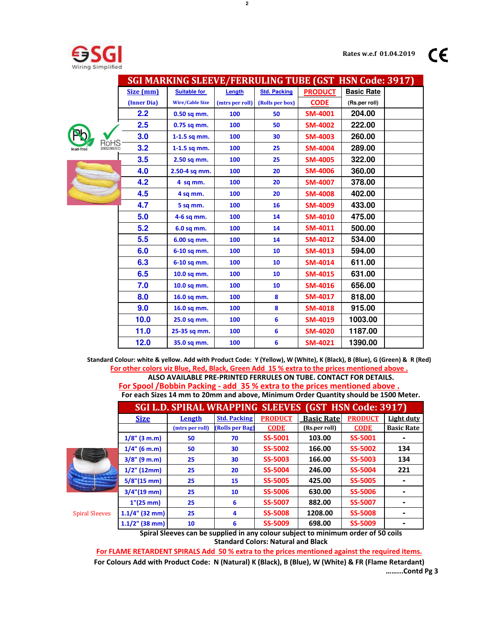CE



|                    |             | <b>SGI MARKING SLEEVE/FERRULING TUBE (GST HSN Code: 3917)</b> |                 |                     |                |                   |  |
|--------------------|-------------|---------------------------------------------------------------|-----------------|---------------------|----------------|-------------------|--|
|                    | Size (mm)   | <b>Suitable for</b>                                           | Length          | <b>Std. Packing</b> | <b>PRODUCT</b> | <b>Basic Rate</b> |  |
|                    | (Inner Dia) | <b>Wire/Cable Size</b>                                        | (mtrs per roll) | (Rolls per box)     | <b>CODE</b>    | (Rs.per roll)     |  |
|                    | 2.2         | 0.50 sq mm.                                                   | 100             | 50                  | <b>SM-4001</b> | 204.00            |  |
|                    | 2.5         | 0.75 sq mm.                                                   | 100             | 50                  | <b>SM-4002</b> | 222.00            |  |
|                    | 3.0         | $1-1.5$ sq mm.                                                | 100             | 30                  | <b>SM-4003</b> | 260.00            |  |
| RoHS<br>2002/95/EC | 3.2         | $1-1.5$ sq mm.                                                | 100             | 25                  | <b>SM-4004</b> | 289.00            |  |
|                    | 3.5         | 2.50 sq mm.                                                   | 100             | 25                  | <b>SM-4005</b> | 322.00            |  |
|                    | 4.0         | 2.50-4 sq mm.                                                 | 100             | 20                  | <b>SM-4006</b> | 360.00            |  |
|                    | 4.2         | 4 sq mm.                                                      | 100             | 20                  | <b>SM-4007</b> | 378.00            |  |
|                    | 4.5         | 4 sq mm.                                                      | 100             | 20                  | <b>SM-4008</b> | 402.00            |  |
|                    | 4.7         | 5 sq mm.                                                      | 100             | 16                  | <b>SM-4009</b> | 433.00            |  |
|                    | 5.0         | 4-6 sq mm.                                                    | 100             | 14                  | <b>SM-4010</b> | 475.00            |  |
|                    | 5.2         | 6.0 sq mm.                                                    | 100             | 14                  | <b>SM-4011</b> | 500.00            |  |
|                    | 5.5         | 6.00 sq mm.                                                   | 100             | 14                  | <b>SM-4012</b> | 534.00            |  |
|                    | 6.0         | 6-10 sq mm.                                                   | 100             | 10                  | <b>SM-4013</b> | 594.00            |  |
|                    | 6.3         | 6-10 sq mm.                                                   | 100             | 10                  | <b>SM-4014</b> | 611.00            |  |
|                    | 6.5         | 10.0 sq mm.                                                   | 100             | 10                  | <b>SM-4015</b> | 631.00            |  |
|                    | 7.0         | 10.0 sq mm.                                                   | 100             | 10                  | <b>SM-4016</b> | 656.00            |  |
|                    | 8.0         | 16.0 sq mm.                                                   | 100             | 8                   | <b>SM-4017</b> | 818.00            |  |
|                    | 9.0         | 16.0 sq mm.                                                   | 100             | 8                   | <b>SM-4018</b> | 915.00            |  |
|                    | 10.0        | 25.0 sq mm.                                                   | 100             | 6                   | <b>SM-4019</b> | 1003.00           |  |
|                    | 11.0        | 25-35 sq mm.                                                  | 100             | 6                   | <b>SM-4020</b> | 1187.00           |  |
|                    | 12.0        | 35.0 sq mm.                                                   | 100             | 6                   | <b>SM-4021</b> | 1390.00           |  |

**Standard Colour: white & yellow. Add with Product Code: Y (Yellow), W (White), K (Black), B (Blue), G (Green) & R (Red) For other colors viz Blue, Red, Black, Green Add 15 % extra to the prices mentioned above . ALSO AVAILABLE PRE-PRINTED FERRULES ON TUBE. CONTACT FOR DETAILS. For Spool /Bobbin Packing - add 35 % extra to the prices mentioned above .**

**For each Sizes 14 mm to 20mm and above, Minimum Order Quantity should be 1500 Meter.**

|                          |                   | SGI L.D. SPIRAL WRAPPING SLEEVES (GST HSN Code: 3917) |                     |                |                   |                |                   |
|--------------------------|-------------------|-------------------------------------------------------|---------------------|----------------|-------------------|----------------|-------------------|
|                          | <b>Size</b>       | Length                                                | <b>Std. Packing</b> | <b>PRODUCT</b> | <b>Basic Rate</b> | <b>PRODUCT</b> | Light duty        |
|                          |                   | (mtrs per roll)                                       | (Rolls per Bag)     | <b>CODE</b>    | (Rs.per roll)     | <b>CODE</b>    | <b>Basic Rate</b> |
|                          | $1/8$ " (3 m.m)   | 50                                                    | 70                  | SS-5001        | 103.00            | SS-5001        |                   |
|                          | $1/4$ " (6 m.m)   | 50                                                    | 30                  | <b>SS-5002</b> | 166.00            | <b>SS-5002</b> | 134               |
|                          | $3/8$ " (9 m.m)   | 25                                                    | 30                  | <b>SS-5003</b> | 166.00            | <b>SS-5003</b> | 134               |
|                          | $1/2$ " (12mm)    | 25                                                    | 20                  | <b>SS-5004</b> | 246.00            | <b>SS-5004</b> | 221               |
|                          | $5/8$ "(15 mm)    | 25                                                    | 15                  | <b>SS-5005</b> | 425.00            | <b>SS-5005</b> |                   |
| $\overline{\phantom{a}}$ | $3/4''(19$ mm)    | 25                                                    | 10                  | <b>SS-5006</b> | 630.00            | <b>SS-5006</b> |                   |
| <b>Spiral Sleeves</b>    | $1''(25$ mm)      | 25                                                    | 6                   | <b>SS-5007</b> | 882.00            | <b>SS-5007</b> |                   |
|                          | $1.1/4$ " (32 mm) | 25                                                    | 4                   | <b>SS-5008</b> | 1208.00           | <b>SS-5008</b> |                   |
|                          | $1.1/2$ " (38 mm) | 10                                                    | 6                   | SS-5009        | 698.00            | <b>SS-5009</b> |                   |
|                          |                   |                                                       |                     |                |                   |                |                   |

**Standard Colors: Natural and Black Spiral Sleeves can be supplied in any colour subject to minimum order of 50 coils**

**For FLAME RETARDENT SPIRALS Add 50 % extra to the prices mentioned against the required items.**

**……...Contd Pg 3 For Colours Add with Product Code: N (Natural) K (Black), B (Blue), W (White) & FR (Flame Retardant)**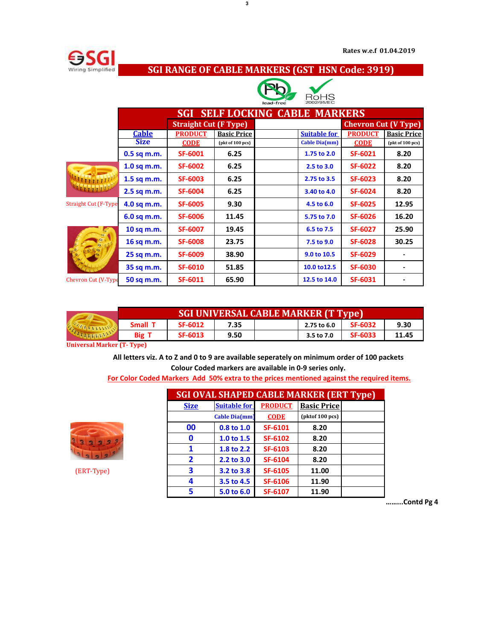

## **SGI RANGE OF CABLE MARKERS (GST HSN Code: 3919)**



|                             | <b>SELF LOCKING CABLE MARKERS</b><br><b>SGI</b> |                              |                    |                     |                |                             |  |  |  |
|-----------------------------|-------------------------------------------------|------------------------------|--------------------|---------------------|----------------|-----------------------------|--|--|--|
|                             |                                                 | <b>Straight Cut (F Type)</b> |                    |                     |                | <b>Chevron Cut (V Type)</b> |  |  |  |
|                             | <b>Cable</b>                                    | <b>PRODUCT</b>               | <b>Basic Price</b> | <b>Suitable for</b> | <b>PRODUCT</b> | <b>Basic Price</b>          |  |  |  |
|                             | <b>Size</b>                                     | <b>CODE</b>                  | (pkt of 100 pcs)   | Cable Dia(mm)       | <b>CODE</b>    | (pkt of 100 pcs)            |  |  |  |
|                             | $0.5$ sq m.m.                                   | <b>SF-6001</b>               | 6.25               | 1.75 to 2.0         | <b>SF-6021</b> | 8.20                        |  |  |  |
|                             | $1.0$ sq m.m.                                   | <b>SF-6002</b>               | 6.25               | 2.5 to 3.0          | <b>SF-6022</b> | 8.20                        |  |  |  |
| $T T T T T T T T T T$       | $1.5$ sq m.m.                                   | <b>SF-6003</b>               | 6.25               | 2.75 to 3.5         | <b>SF-6023</b> | 8.20                        |  |  |  |
|                             | 2.5 sq m.m.                                     | <b>SF-6004</b>               | 6.25               | 3.40 to 4.0         | <b>SF-6024</b> | 8.20                        |  |  |  |
| <b>Straight Cut (F-Type</b> | 4.0 sq m.m.                                     | <b>SF-6005</b>               | 9.30               | 4.5 to 6.0          | <b>SF-6025</b> | 12.95                       |  |  |  |
|                             | 6.0 sq m.m.                                     | <b>SF-6006</b>               | 11.45              | 5.75 to 7.0         | <b>SF-6026</b> | 16.20                       |  |  |  |
|                             | 10 sq m.m.                                      | <b>SF-6007</b>               | 19.45              | 6.5 to 7.5          | <b>SF-6027</b> | 25.90                       |  |  |  |
|                             | 16 sq m.m.                                      | <b>SF-6008</b>               | 23.75              | 7.5 to 9.0          | <b>SF-6028</b> | 30.25                       |  |  |  |
|                             | 25 sq m.m.                                      | <b>SF-6009</b>               | 38.90              | 9.0 to 10.5         | <b>SF-6029</b> |                             |  |  |  |
|                             | 35 sq m.m.                                      | <b>SF-6010</b>               | 51.85              | 10.0 to 12.5        | <b>SF-6030</b> |                             |  |  |  |
| Chevron Cut (V-Type         | 50 sq m.m.                                      | SF-6011                      | 65.90              | 12.5 to 14.0        | <b>SF-6031</b> |                             |  |  |  |

|  | <b>SGI UNIVERSAL CABLE MARKER (T Type)</b> |                |      |             |                |       |  |  |  |
|--|--------------------------------------------|----------------|------|-------------|----------------|-------|--|--|--|
|  | Small T                                    | SF-6012        | 7.35 | 2.75 to 6.0 | <b>SF-6032</b> | 9.30  |  |  |  |
|  | <b>Big T</b>                               | <b>SF-6013</b> | 9.50 | 3.5 to 7.0  | <b>SF-6033</b> | 11.45 |  |  |  |

**Universal Marker (T- Type)**

**All letters viz. A to Z and 0 to 9 are available seperately on minimum order of 100 packets Colour Coded markers are available in 0-9 series only.** 

**For Color Coded Markers Add 50% extra to the prices mentioned against the required items.**



(ERT-Type) **3 3.2 to 3.8 SF-6105 11.00 12.98**

| <b>SGI OVAL SHAPED CABLE MARKER (ERT Type)</b> |                      |                |                           |  |  |  |  |
|------------------------------------------------|----------------------|----------------|---------------------------|--|--|--|--|
| <b>Size</b>                                    | <b>Suitable for</b>  | <b>PRODUCT</b> | <b>Basic Price</b>        |  |  |  |  |
|                                                | <b>Cable Dia(mm)</b> | <b>CODE</b>    | $($ p $k$ tof 100 pcs $)$ |  |  |  |  |
| 00                                             | 0.8 to 1.0           | SF-6101        | 8.20                      |  |  |  |  |
| O                                              | 1.0 to 1.5           | <b>SF-6102</b> | 8.20                      |  |  |  |  |
| 1                                              | 1.8 to 2.2           | SF-6103        | 8.20                      |  |  |  |  |
| $\overline{\mathbf{z}}$                        | 2.2 to 3.0           | <b>SF-6104</b> | 8.20                      |  |  |  |  |
| 3                                              | 3.2 to 3.8           | <b>SF-6105</b> | 11.00                     |  |  |  |  |
| Δ.                                             | 3.5 to 4.5           | <b>SF-6106</b> | 11.90                     |  |  |  |  |
| 5                                              | 5.0 to 6.0           | SF-6107        | 11.90                     |  |  |  |  |

**……...Contd Pg 4**